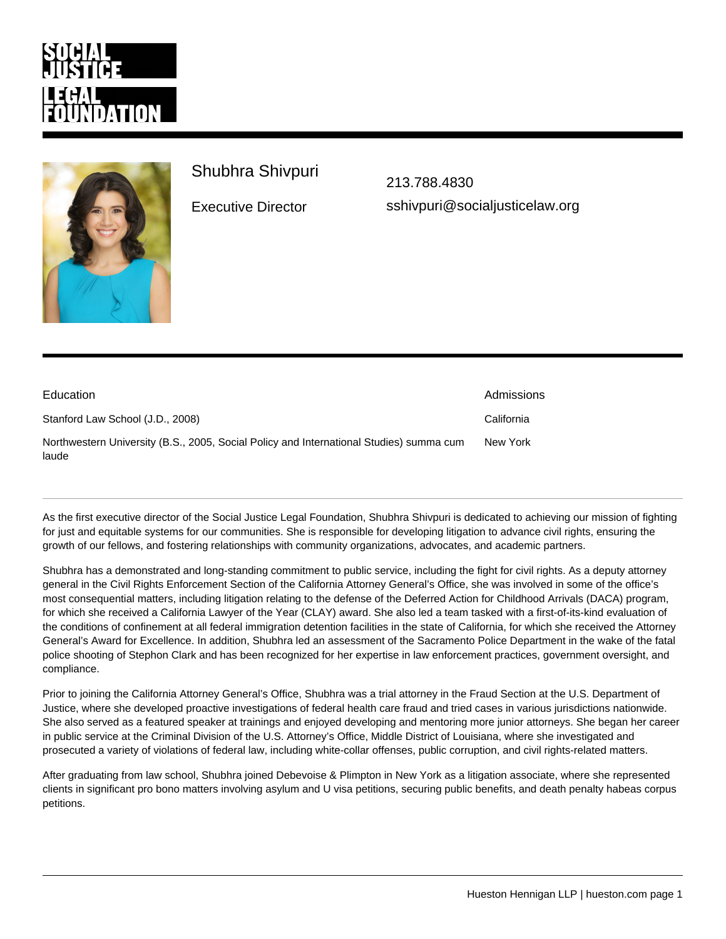## Shubhra Shivpuri

Executive Director

[213.788.4830](�� / n a s / c o n t e n t / l i v e / s o c i a l j u s t i c e l / t e l : 2 1 3 . 7 8 8 . 4 8 3 0) [sshivpuri@socialjusticelaw.org](�� m a i l t o : s s h i v p u r i @ s o c i a l j u s t i c e l a w . o r g)

| Education                                                                                        | Admissions |
|--------------------------------------------------------------------------------------------------|------------|
| Stanford Law School (J.D., 2008)                                                                 | California |
| Northwestern University (B.S., 2005, Social Policy and International Studies) summa cum<br>laude | New York   |

As the first executive director of the Social Justice Legal Foundation, Shubhra Shivpuri is dedicated to achieving our mission of fighting for just and equitable systems for our communities. She is responsible for developing litigation to advance civil rights, ensuring the growth of our fellows, and fostering relationships with community organizations, advocates, and academic partners.

Shubhra has a demonstrated and long-standing commitment to public service, including the fight for civil rights. As a deputy attorney general in the Civil Rights Enforcement Section of the California Attorney General's Office, she was involved in some of the office's most consequential matters, including litigation relating to the defense of the Deferred Action for Childhood Arrivals (DACA) program, for which she received a California Lawyer of the Year (CLAY) award. She also led a team tasked with a first-of-its-kind evaluation of the conditions of confinement at all federal immigration detention facilities in the state of California, for which she received the Attorney General's Award for Excellence. In addition, Shubhra led an assessment of the Sacramento Police Department in the wake of the fatal police shooting of Stephon Clark and has been recognized for her expertise in law enforcement practices, government oversight, and compliance.

Prior to joining the California Attorney General's Office, Shubhra was a trial attorney in the Fraud Section at the U.S. Department of Justice, where she developed proactive investigations of federal health care fraud and tried cases in various jurisdictions nationwide. She also served as a featured speaker at trainings and enjoyed developing and mentoring more junior attorneys. She began her career in public service at the Criminal Division of the U.S. Attorney's Office, Middle District of Louisiana, where she investigated and prosecuted a variety of violations of federal law, including white-collar offenses, public corruption, and civil rights-related matters.

After graduating from law school, Shubhra joined Debevoise & Plimpton in New York as a litigation associate, where she represented clients in significant pro bono matters involving asylum and U visa petitions, securing public benefits, and death penalty habeas corpus petitions.